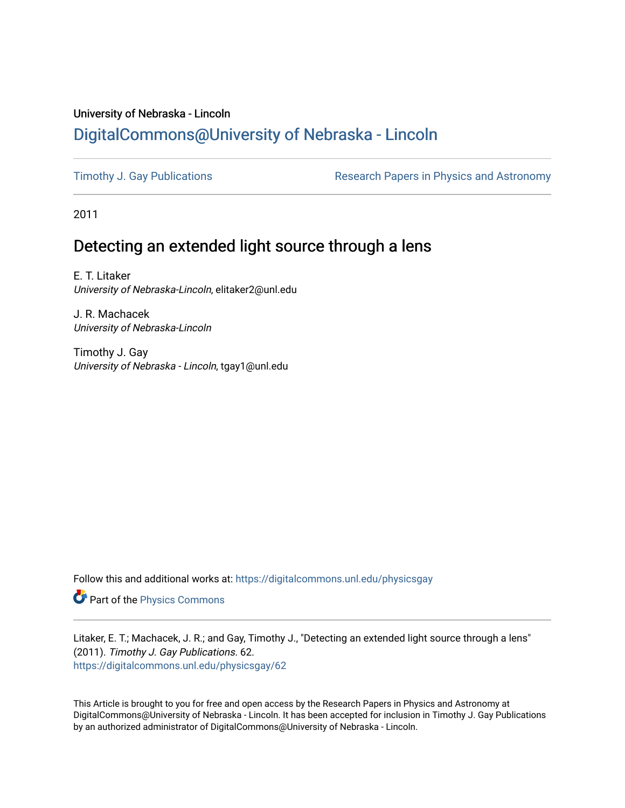# University of Nebraska - Lincoln [DigitalCommons@University of Nebraska - Lincoln](https://digitalcommons.unl.edu/)

[Timothy J. Gay Publications](https://digitalcommons.unl.edu/physicsgay) **Research Papers in Physics and Astronomy** 

2011

# Detecting an extended light source through a lens

E. T. Litaker University of Nebraska-Lincoln, elitaker2@unl.edu

J. R. Machacek University of Nebraska-Lincoln

Timothy J. Gay University of Nebraska - Lincoln, tgay1@unl.edu

Follow this and additional works at: [https://digitalcommons.unl.edu/physicsgay](https://digitalcommons.unl.edu/physicsgay?utm_source=digitalcommons.unl.edu%2Fphysicsgay%2F62&utm_medium=PDF&utm_campaign=PDFCoverPages)

Part of the [Physics Commons](http://network.bepress.com/hgg/discipline/193?utm_source=digitalcommons.unl.edu%2Fphysicsgay%2F62&utm_medium=PDF&utm_campaign=PDFCoverPages)

Litaker, E. T.; Machacek, J. R.; and Gay, Timothy J., "Detecting an extended light source through a lens" (2011). Timothy J. Gay Publications. 62. [https://digitalcommons.unl.edu/physicsgay/62](https://digitalcommons.unl.edu/physicsgay/62?utm_source=digitalcommons.unl.edu%2Fphysicsgay%2F62&utm_medium=PDF&utm_campaign=PDFCoverPages) 

This Article is brought to you for free and open access by the Research Papers in Physics and Astronomy at DigitalCommons@University of Nebraska - Lincoln. It has been accepted for inclusion in Timothy J. Gay Publications by an authorized administrator of DigitalCommons@University of Nebraska - Lincoln.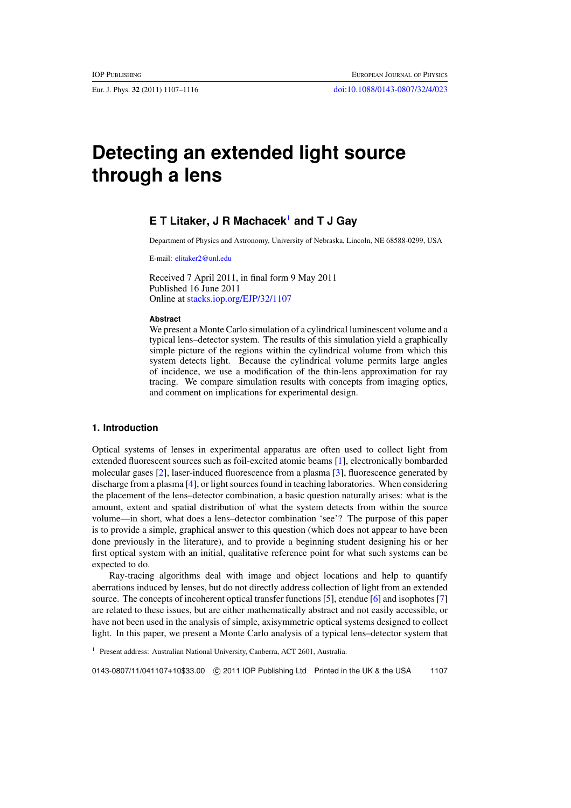# **Detecting an extended light source through a lens**

# **E T Litaker, J R Machacek**<sup>1</sup> **and T J Gay**

Department of Physics and Astronomy, University of Nebraska, Lincoln, NE 68588-0299, USA

E-mail: [elitaker2@unl.edu](mailto:elitaker2@unl.edu)

Received 7 April 2011, in final form 9 May 2011 Published 16 June 2011 Online at [stacks.iop.org/EJP/32/1107](http://stacks.iop.org/EJP/32/1107)

#### **Abstract**

We present a Monte Carlo simulation of a cylindrical luminescent volume and a typical lens–detector system. The results of this simulation yield a graphically simple picture of the regions within the cylindrical volume from which this system detects light. Because the cylindrical volume permits large angles of incidence, we use a modification of the thin-lens approximation for ray tracing. We compare simulation results with concepts from imaging optics, and comment on implications for experimental design.

# **1. Introduction**

Optical systems of lenses in experimental apparatus are often used to collect light from extended fluorescent sources such as foil-excited atomic beams [\[1](#page-10-0)], electronically bombarded molecular gases [\[2\]](#page-10-0), laser-induced fluorescence from a plasma [\[3\]](#page-10-0), fluorescence generated by discharge from a plasma [\[4\]](#page-10-0), or light sources found in teaching laboratories. When considering the placement of the lens–detector combination, a basic question naturally arises: what is the amount, extent and spatial distribution of what the system detects from within the source volume—in short, what does a lens–detector combination 'see'? The purpose of this paper is to provide a simple, graphical answer to this question (which does not appear to have been done previously in the literature), and to provide a beginning student designing his or her first optical system with an initial, qualitative reference point for what such systems can be expected to do.

Ray-tracing algorithms deal with image and object locations and help to quantify aberrations induced by lenses, but do not directly address collection of light from an extended source. The concepts of incoherent optical transfer functions [\[5\]](#page-10-0), etendue [\[6\]](#page-10-0) and isophotes [\[7](#page-10-0)] are related to these issues, but are either mathematically abstract and not easily accessible, or have not been used in the analysis of simple, axisymmetric optical systems designed to collect light. In this paper, we present a Monte Carlo analysis of a typical lens–detector system that

<sup>1</sup> Present address: Australian National University, Canberra, ACT 2601, Australia.

0143-0807/11/041107+10\$33.00 -c 2011 IOP Publishing Ltd Printed in the UK & the USA 1107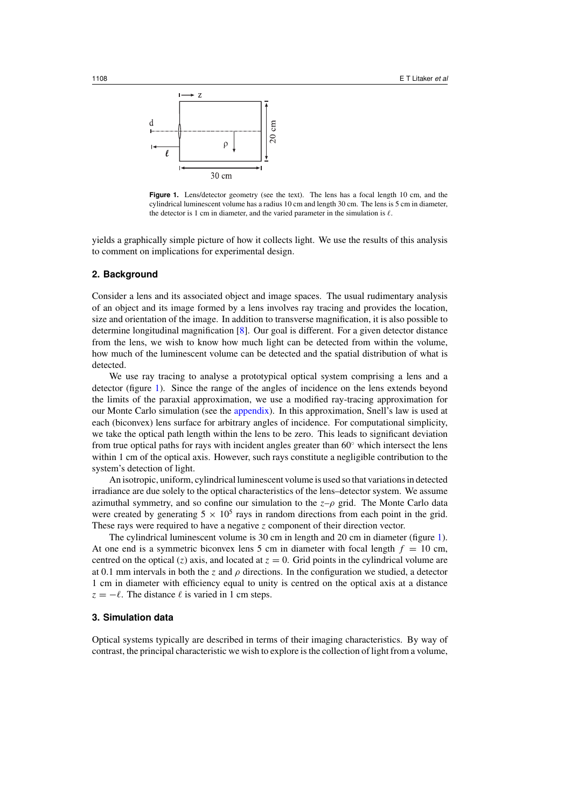<span id="page-2-0"></span>

Figure 1. Lens/detector geometry (see the text). The lens has a focal length 10 cm, and the cylindrical luminescent volume has a radius 10 cm and length 30 cm. The lens is 5 cm in diameter, the detector is 1 cm in diameter, and the varied parameter in the simulation is  $\ell$ .

yields a graphically simple picture of how it collects light. We use the results of this analysis to comment on implications for experimental design.

#### **2. Background**

Consider a lens and its associated object and image spaces. The usual rudimentary analysis of an object and its image formed by a lens involves ray tracing and provides the location, size and orientation of the image. In addition to transverse magnification, it is also possible to determine longitudinal magnification [\[8\]](#page-10-0). Our goal is different. For a given detector distance from the lens, we wish to know how much light can be detected from within the volume, how much of the luminescent volume can be detected and the spatial distribution of what is detected.

We use ray tracing to analyse a prototypical optical system comprising a lens and a detector (figure 1). Since the range of the angles of incidence on the lens extends beyond the limits of the paraxial approximation, we use a modified ray-tracing approximation for our Monte Carlo simulation (see the [appendix\)](#page-8-0). In this approximation, Snell's law is used at each (biconvex) lens surface for arbitrary angles of incidence. For computational simplicity, we take the optical path length within the lens to be zero. This leads to significant deviation from true optical paths for rays with incident angles greater than 60◦ which intersect the lens within 1 cm of the optical axis. However, such rays constitute a negligible contribution to the system's detection of light.

An isotropic, uniform, cylindrical luminescent volume is used so that variations in detected irradiance are due solely to the optical characteristics of the lens–detector system. We assume azimuthal symmetry, and so confine our simulation to the  $z-\rho$  grid. The Monte Carlo data were created by generating  $5 \times 10^5$  rays in random directions from each point in the grid. These rays were required to have a negative *z* component of their direction vector.

The cylindrical luminescent volume is 30 cm in length and 20 cm in diameter (figure 1). At one end is a symmetric biconvex lens 5 cm in diameter with focal length  $f = 10$  cm, centred on the optical (*z*) axis, and located at  $z = 0$ . Grid points in the cylindrical volume are at 0*.*1 mm intervals in both the *z* and *ρ* directions. In the configuration we studied, a detector 1 cm in diameter with efficiency equal to unity is centred on the optical axis at a distance  $z = -\ell$ . The distance  $\ell$  is varied in 1 cm steps.

#### **3. Simulation data**

Optical systems typically are described in terms of their imaging characteristics. By way of contrast, the principal characteristic we wish to explore is the collection of light from a volume,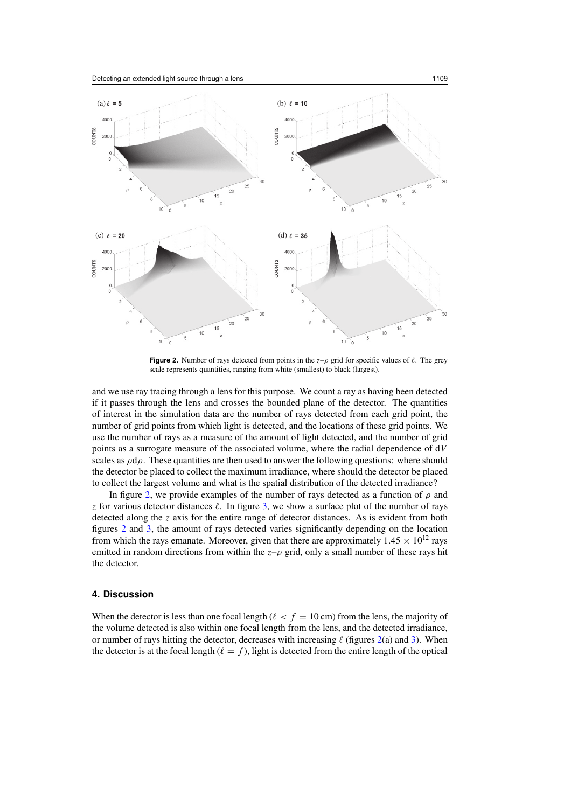<span id="page-3-0"></span>

**Figure 2.** Number of rays detected from points in the  $z-\rho$  grid for specific values of  $\ell$ . The grey scale represents quantities, ranging from white (smallest) to black (largest).

and we use ray tracing through a lens for this purpose. We count a ray as having been detected if it passes through the lens and crosses the bounded plane of the detector. The quantities of interest in the simulation data are the number of rays detected from each grid point, the number of grid points from which light is detected, and the locations of these grid points. We use the number of rays as a measure of the amount of light detected, and the number of grid points as a surrogate measure of the associated volume, where the radial dependence of d*V* scales as *ρ*d*ρ*. These quantities are then used to answer the following questions: where should the detector be placed to collect the maximum irradiance, where should the detector be placed to collect the largest volume and what is the spatial distribution of the detected irradiance?

In figure 2, we provide examples of the number of rays detected as a function of *ρ* and *z* for various detector distances  $\ell$ . In figure [3,](#page-4-0) we show a surface plot of the number of rays detected along the *z* axis for the entire range of detector distances. As is evident from both figures 2 and [3,](#page-4-0) the amount of rays detected varies significantly depending on the location from which the rays emanate. Moreover, given that there are approximately  $1.45 \times 10^{12}$  rays emitted in random directions from within the  $z-\rho$  grid, only a small number of these rays hit the detector.

## **4. Discussion**

When the detector is less than one focal length ( $\ell < f = 10$  cm) from the lens, the majority of the volume detected is also within one focal length from the lens, and the detected irradiance, or number of rays hitting the detector, decreases with increasing  $\ell$  (figures 2(a) and [3\)](#page-4-0). When the detector is at the focal length ( $\ell = f$ ), light is detected from the entire length of the optical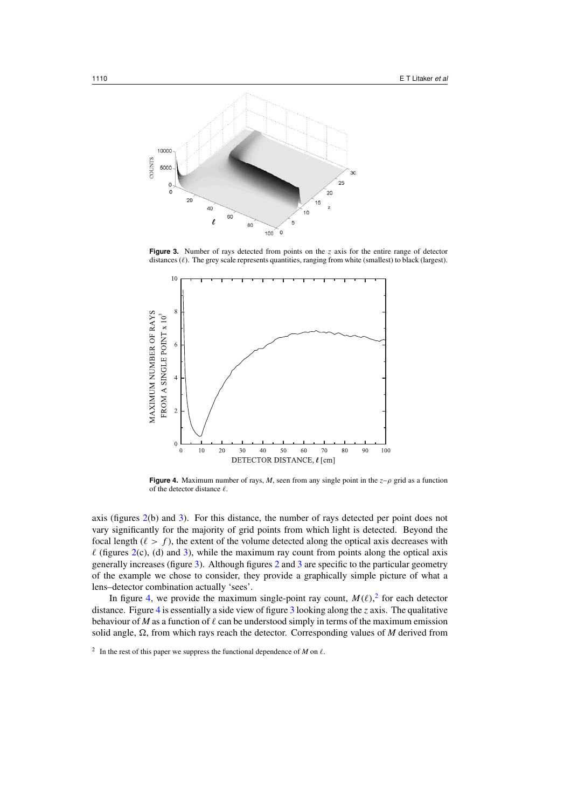<span id="page-4-0"></span>

**Figure 3.** Number of rays detected from points on the *z* axis for the entire range of detector distances ( $\ell$ ). The grey scale represents quantities, ranging from white (smallest) to black (largest).



**Figure 4.** Maximum number of rays, *M*, seen from any single point in the  $z-\rho$  grid as a function of the detector distance  $\ell$ .

axis (figures [2\(](#page-3-0)b) and 3). For this distance, the number of rays detected per point does not vary significantly for the majority of grid points from which light is detected. Beyond the focal length ( $\ell > f$ ), the extent of the volume detected along the optical axis decreases with  $\ell$  (figures [2\(](#page-3-0)c), (d) and 3), while the maximum ray count from points along the optical axis generally increases (figure 3). Although figures [2](#page-3-0) and 3 are specific to the particular geometry of the example we chose to consider, they provide a graphically simple picture of what a lens–detector combination actually 'sees'.

In figure 4, we provide the maximum single-point ray count,  $M(\ell)$ , for each detector distance. Figure 4 is essentially a side view of figure 3 looking along the *z* axis. The qualitative behaviour of *M* as a function of  $\ell$  can be understood simply in terms of the maximum emission solid angle,  $\Omega$ , from which rays reach the detector. Corresponding values of *M* derived from

<sup>&</sup>lt;sup>2</sup> In the rest of this paper we suppress the functional dependence of *M* on  $\ell$ .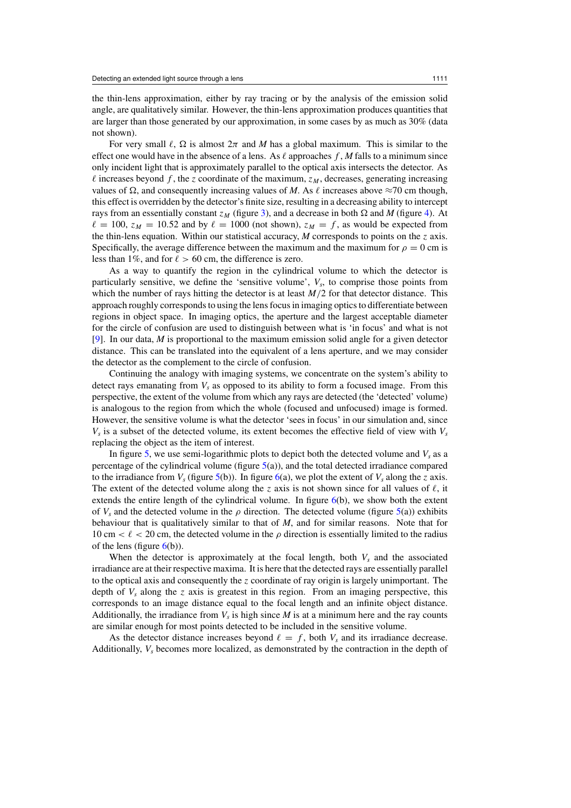the thin-lens approximation, either by ray tracing or by the analysis of the emission solid angle, are qualitatively similar. However, the thin-lens approximation produces quantities that are larger than those generated by our approximation, in some cases by as much as 30% (data not shown).

For very small  $\ell$ ,  $\Omega$  is almost  $2\pi$  and M has a global maximum. This is similar to the effect one would have in the absence of a lens. As  $\ell$  approaches  $f$ ,  $M$  falls to a minimum since only incident light that is approximately parallel to the optical axis intersects the detector. As  $\ell$  increases beyond  $f$ , the *z* coordinate of the maximum,  $z_M$ , decreases, generating increasing values of  $\Omega$ , and consequently increasing values of *M*. As  $\ell$  increases above  $\approx$ 70 cm though, this effect is overridden by the detector's finite size, resulting in a decreasing ability to intercept rays from an essentially constant  $z_M$  (figure [3\)](#page-4-0), and a decrease in both  $\Omega$  and *M* (figure [4\)](#page-4-0). At  $\ell = 100$ ,  $z_M = 10.52$  and by  $\ell = 1000$  (not shown),  $z_M = f$ , as would be expected from the thin-lens equation. Within our statistical accuracy, *M* corresponds to points on the *z* axis. Specifically, the average difference between the maximum and the maximum for  $\rho = 0$  cm is less than 1%, and for  $\ell > 60$  cm, the difference is zero.

As a way to quantify the region in the cylindrical volume to which the detector is particularly sensitive, we define the 'sensitive volume',  $V_s$ , to comprise those points from which the number of rays hitting the detector is at least  $M/2$  for that detector distance. This approach roughly corresponds to using the lens focus in imaging optics to differentiate between regions in object space. In imaging optics, the aperture and the largest acceptable diameter for the circle of confusion are used to distinguish between what is 'in focus' and what is not [\[9](#page-10-0)]. In our data, *M* is proportional to the maximum emission solid angle for a given detector distance. This can be translated into the equivalent of a lens aperture, and we may consider the detector as the complement to the circle of confusion.

Continuing the analogy with imaging systems, we concentrate on the system's ability to detect rays emanating from  $V_s$  as opposed to its ability to form a focused image. From this perspective, the extent of the volume from which any rays are detected (the 'detected' volume) is analogous to the region from which the whole (focused and unfocused) image is formed. However, the sensitive volume is what the detector 'sees in focus' in our simulation and, since  $V_s$  is a subset of the detected volume, its extent becomes the effective field of view with  $V_s$ replacing the object as the item of interest.

In figure [5,](#page-6-0) we use semi-logarithmic plots to depict both the detected volume and  $V_s$  as a percentage of the cylindrical volume (figure [5\(](#page-6-0)a)), and the total detected irradiance compared to the irradiance from  $V_s$  (figure [5\(](#page-6-0)b)). In figure [6\(](#page-7-0)a), we plot the extent of  $V_s$  along the *z* axis. The extent of the detected volume along the *z* axis is not shown since for all values of  $\ell$ , it extends the entire length of the cylindrical volume. In figure  $6(b)$  $6(b)$ , we show both the extent of *Vs* and the detected volume in the *ρ* direction. The detected volume (figure [5\(](#page-6-0)a)) exhibits behaviour that is qualitatively similar to that of *M*, and for similar reasons. Note that for 10 cm  $\lt \ell \lt 20$  cm, the detected volume in the  $\rho$  direction is essentially limited to the radius of the lens (figure  $6(b)$  $6(b)$ ).

When the detector is approximately at the focal length, both  $V_s$  and the associated irradiance are at their respective maxima. It is here that the detected rays are essentially parallel to the optical axis and consequently the *z* coordinate of ray origin is largely unimportant. The depth of  $V_s$  along the *z* axis is greatest in this region. From an imaging perspective, this corresponds to an image distance equal to the focal length and an infinite object distance. Additionally, the irradiance from  $V_s$  is high since  $M$  is at a minimum here and the ray counts are similar enough for most points detected to be included in the sensitive volume.

As the detector distance increases beyond  $\ell = f$ , both  $V_s$  and its irradiance decrease. Additionally,  $V_s$  becomes more localized, as demonstrated by the contraction in the depth of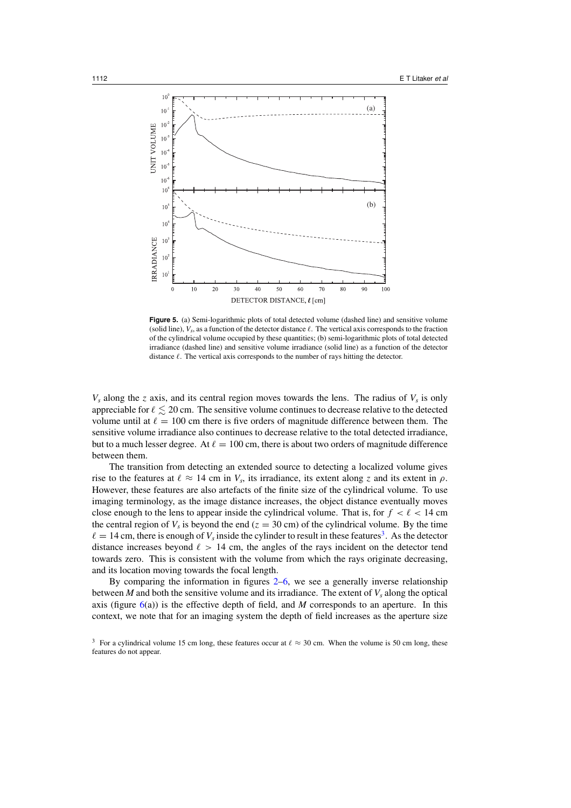<span id="page-6-0"></span>

Figure 5. (a) Semi-logarithmic plots of total detected volume (dashed line) and sensitive volume (solid line),  $V_s$ , as a function of the detector distance  $\ell$ . The vertical axis corresponds to the fraction of the cylindrical volume occupied by these quantities; (b) semi-logarithmic plots of total detected irradiance (dashed line) and sensitive volume irradiance (solid line) as a function of the detector distance  $\ell$ . The vertical axis corresponds to the number of rays hitting the detector.

 $V_s$  along the *z* axis, and its central region moves towards the lens. The radius of  $V_s$  is only appreciable for  $\ell \lesssim 20$  cm. The sensitive volume continues to decrease relative to the detected volume until at  $\ell = 100$  cm there is five orders of magnitude difference between them. The sensitive volume irradiance also continues to decrease relative to the total detected irradiance, but to a much lesser degree. At  $\ell = 100$  cm, there is about two orders of magnitude difference between them.

The transition from detecting an extended source to detecting a localized volume gives rise to the features at  $\ell \approx 14$  cm in  $V_s$ , its irradiance, its extent along *z* and its extent in  $\rho$ . However, these features are also artefacts of the finite size of the cylindrical volume. To use imaging terminology, as the image distance increases, the object distance eventually moves close enough to the lens to appear inside the cylindrical volume. That is, for  $f < \ell < 14$  cm the central region of  $V_s$  is beyond the end ( $z = 30$  cm) of the cylindrical volume. By the time  $\ell = 14$  cm, there is enough of  $V_s$  inside the cylinder to result in these features<sup>3</sup>. As the detector distance increases beyond  $\ell > 14$  cm, the angles of the rays incident on the detector tend towards zero. This is consistent with the volume from which the rays originate decreasing, and its location moving towards the focal length.

By comparing the information in figures [2–](#page-3-0)[6,](#page-7-0) we see a generally inverse relationship between  $M$  and both the sensitive volume and its irradiance. The extent of  $V_s$  along the optical axis (figure  $6(a)$  $6(a)$ ) is the effective depth of field, and *M* corresponds to an aperture. In this context, we note that for an imaging system the depth of field increases as the aperture size

<sup>&</sup>lt;sup>3</sup> For a cylindrical volume 15 cm long, these features occur at  $\ell \approx 30$  cm. When the volume is 50 cm long, these features do not appear.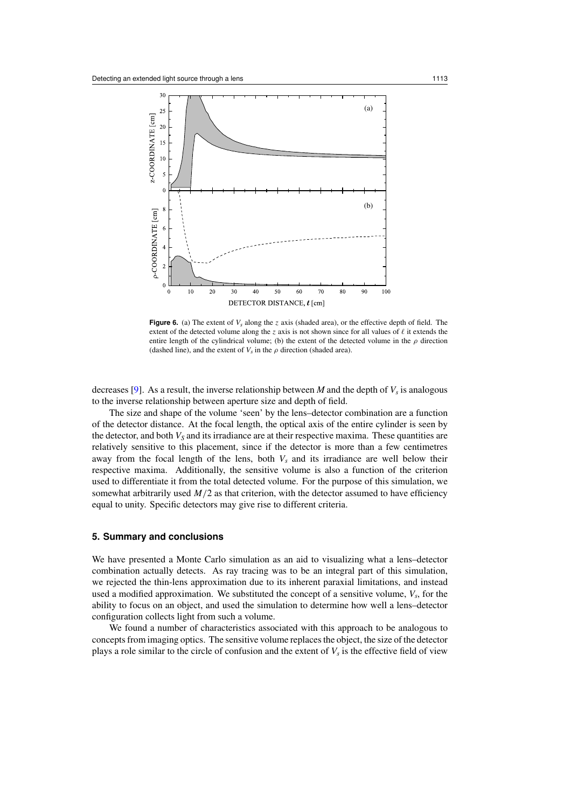<span id="page-7-0"></span>

**Figure 6.** (a) The extent of  $V_s$  along the *z* axis (shaded area), or the effective depth of field. The extent of the detected volume along the *z* axis is not shown since for all values of  $\ell$  it extends the entire length of the cylindrical volume; (b) the extent of the detected volume in the  $\rho$  direction (dashed line), and the extent of  $V_s$  in the  $\rho$  direction (shaded area).

decreases [\[9\]](#page-10-0). As a result, the inverse relationship between *M* and the depth of  $V_s$  is analogous to the inverse relationship between aperture size and depth of field.

The size and shape of the volume 'seen' by the lens–detector combination are a function of the detector distance. At the focal length, the optical axis of the entire cylinder is seen by the detector, and both  $V_S$  and its irradiance are at their respective maxima. These quantities are relatively sensitive to this placement, since if the detector is more than a few centimetres away from the focal length of the lens, both  $V_s$  and its irradiance are well below their respective maxima. Additionally, the sensitive volume is also a function of the criterion used to differentiate it from the total detected volume. For the purpose of this simulation, we somewhat arbitrarily used  $M/2$  as that criterion, with the detector assumed to have efficiency equal to unity. Specific detectors may give rise to different criteria.

# **5. Summary and conclusions**

We have presented a Monte Carlo simulation as an aid to visualizing what a lens–detector combination actually detects. As ray tracing was to be an integral part of this simulation, we rejected the thin-lens approximation due to its inherent paraxial limitations, and instead used a modified approximation. We substituted the concept of a sensitive volume,  $V_s$ , for the ability to focus on an object, and used the simulation to determine how well a lens–detector configuration collects light from such a volume.

We found a number of characteristics associated with this approach to be analogous to concepts from imaging optics. The sensitive volume replaces the object, the size of the detector plays a role similar to the circle of confusion and the extent of  $V_s$  is the effective field of view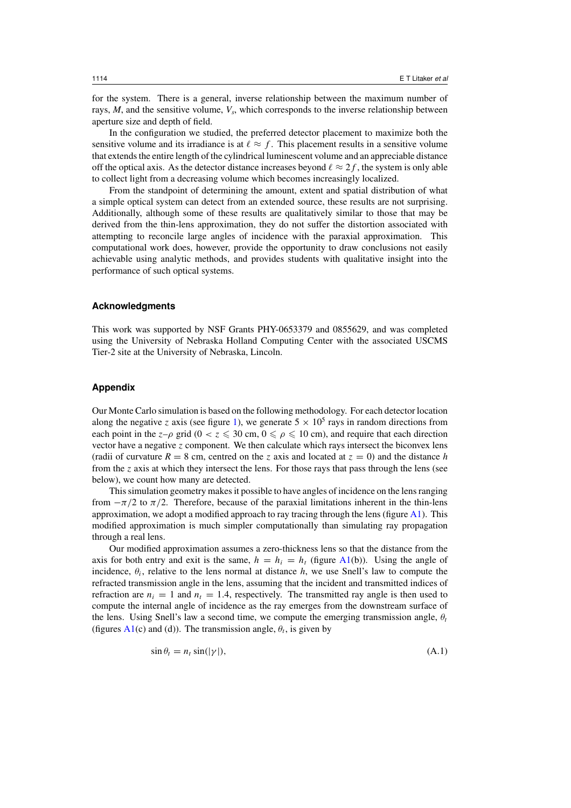<span id="page-8-0"></span>for the system. There is a general, inverse relationship between the maximum number of rays,  $M$ , and the sensitive volume,  $V_s$ , which corresponds to the inverse relationship between aperture size and depth of field.

In the configuration we studied, the preferred detector placement to maximize both the sensitive volume and its irradiance is at  $\ell \approx f$ . This placement results in a sensitive volume that extends the entire length of the cylindrical luminescent volume and an appreciable distance off the optical axis. As the detector distance increases beyond  $\ell \approx 2f$ , the system is only able to collect light from a decreasing volume which becomes increasingly localized.

From the standpoint of determining the amount, extent and spatial distribution of what a simple optical system can detect from an extended source, these results are not surprising. Additionally, although some of these results are qualitatively similar to those that may be derived from the thin-lens approximation, they do not suffer the distortion associated with attempting to reconcile large angles of incidence with the paraxial approximation. This computational work does, however, provide the opportunity to draw conclusions not easily achievable using analytic methods, and provides students with qualitative insight into the performance of such optical systems.

#### **Acknowledgments**

This work was supported by NSF Grants PHY-0653379 and 0855629, and was completed using the University of Nebraska Holland Computing Center with the associated USCMS Tier-2 site at the University of Nebraska, Lincoln.

### **Appendix**

Our Monte Carlo simulation is based on the following methodology. For each detector location along the negative *z* axis (see figure [1\)](#page-2-0), we generate  $5 \times 10^5$  rays in random directions from each point in the  $z-\rho$  grid ( $0 < z \le 30$  cm,  $0 \le \rho \le 10$  cm), and require that each direction vector have a negative *z* component. We then calculate which rays intersect the biconvex lens (radii of curvature  $R = 8$  cm, centred on the *z* axis and located at  $z = 0$ ) and the distance *h* from the *z* axis at which they intersect the lens. For those rays that pass through the lens (see below), we count how many are detected.

This simulation geometry makes it possible to have angles of incidence on the lens ranging from  $-\pi/2$  to  $\pi/2$ . Therefore, because of the paraxial limitations inherent in the thin-lens approximation, we adopt a modified approach to ray tracing through the lens (figure  $A1$ ). This modified approximation is much simpler computationally than simulating ray propagation through a real lens.

Our modified approximation assumes a zero-thickness lens so that the distance from the axis for both entry and exit is the same,  $h = h_i = h_t$  (figure [A1\(](#page-9-0)b)). Using the angle of incidence,  $\theta_i$ , relative to the lens normal at distance  $h$ , we use Snell's law to compute the refracted transmission angle in the lens, assuming that the incident and transmitted indices of refraction are  $n_i = 1$  and  $n_t = 1.4$ , respectively. The transmitted ray angle is then used to compute the internal angle of incidence as the ray emerges from the downstream surface of the lens. Using Snell's law a second time, we compute the emerging transmission angle,  $\theta_t$ (figures  $A1(c)$  $A1(c)$  and (d)). The transmission angle,  $\theta_t$ , is given by

$$
\sin \theta_t = n_t \sin(|\gamma|),\tag{A.1}
$$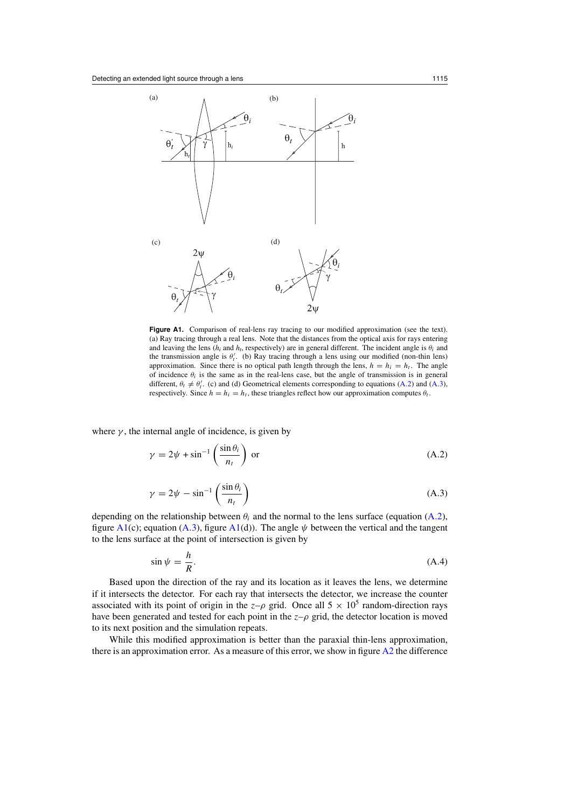<span id="page-9-0"></span>

Figure A1. Comparison of real-lens ray tracing to our modified approximation (see the text). (a) Ray tracing through a real lens. Note that the distances from the optical axis for rays entering and leaving the lens ( $h_i$  and  $h_t$ , respectively) are in general different. The incident angle is  $\theta_i$  and the transmission angle is  $\theta'_t$ . (b) Ray tracing through a lens using our modified (non-thin lens) approximation. Since there is no optical path length through the lens,  $h = h_i = h_t$ . The angle of incidence  $\theta_i$  is the same as in the real-lens case, but the angle of transmission is in general different,  $\theta_t \neq \theta'_t$ . (c) and (d) Geometrical elements corresponding to equations (A.2) and (A.3), respectively. Since  $h = h_i = h_t$ , these triangles reflect how our approximation computes  $\theta_t$ .

where  $\gamma$ , the internal angle of incidence, is given by

$$
\gamma = 2\psi + \sin^{-1}\left(\frac{\sin\theta_i}{n_t}\right) \text{ or } \tag{A.2}
$$

$$
\gamma = 2\psi - \sin^{-1}\left(\frac{\sin \theta_i}{n_t}\right) \tag{A.3}
$$

depending on the relationship between  $\theta_i$  and the normal to the lens surface (equation (A.2), figure  $A1(c)$ ; equation (A.3), figure  $A1(d)$ ). The angle  $\psi$  between the vertical and the tangent to the lens surface at the point of intersection is given by

$$
\sin \psi = \frac{h}{R}.\tag{A.4}
$$

Based upon the direction of the ray and its location as it leaves the lens, we determine if it intersects the detector. For each ray that intersects the detector, we increase the counter associated with its point of origin in the  $z-\rho$  grid. Once all  $5 \times 10^5$  random-direction rays have been generated and tested for each point in the  $z-\rho$  grid, the detector location is moved to its next position and the simulation repeats.

While this modified approximation is better than the paraxial thin-lens approximation, there is an approximation error. As a measure of this error, we show in figure  $A2$  the difference